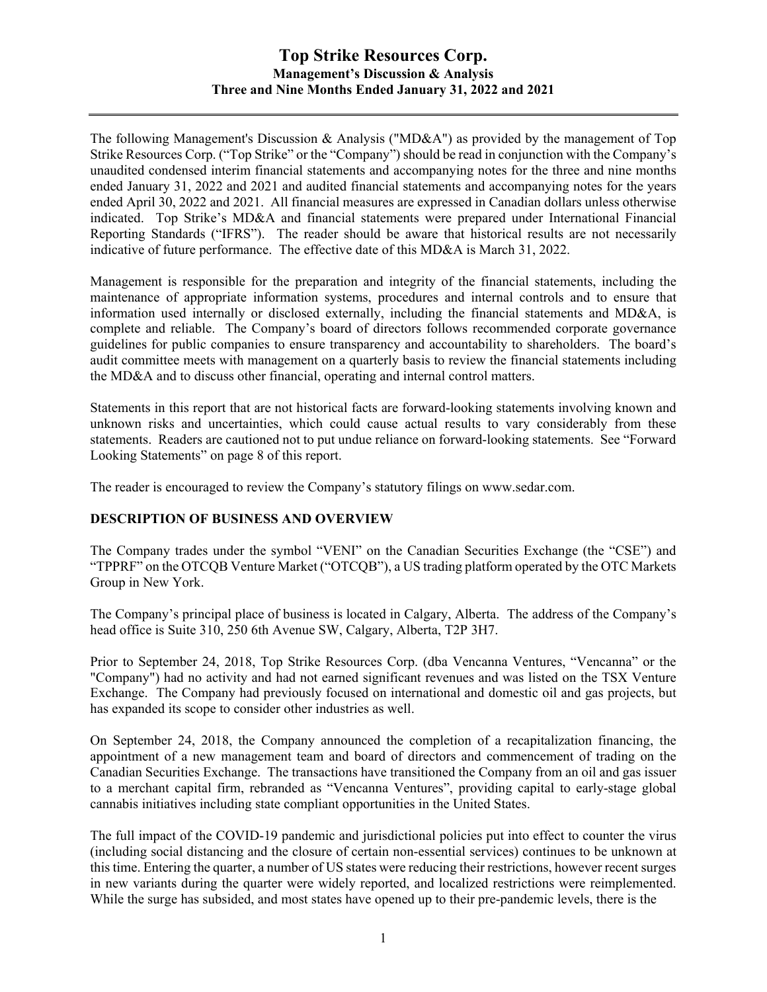# **Top Strike Resources Corp. Management's Discussion & Analysis Three and Nine Months Ended January 31, 2022 and 2021**

The following Management's Discussion & Analysis ("MD&A") as provided by the management of Top Strike Resources Corp. ("Top Strike" or the "Company") should be read in conjunction with the Company's unaudited condensed interim financial statements and accompanying notes for the three and nine months ended January 31, 2022 and 2021 and audited financial statements and accompanying notes for the years ended April 30, 2022 and 2021. All financial measures are expressed in Canadian dollars unless otherwise indicated. Top Strike's MD&A and financial statements were prepared under International Financial Reporting Standards ("IFRS"). The reader should be aware that historical results are not necessarily indicative of future performance. The effective date of this MD&A is March 31, 2022.

Management is responsible for the preparation and integrity of the financial statements, including the maintenance of appropriate information systems, procedures and internal controls and to ensure that information used internally or disclosed externally, including the financial statements and MD&A, is complete and reliable. The Company's board of directors follows recommended corporate governance guidelines for public companies to ensure transparency and accountability to shareholders. The board's audit committee meets with management on a quarterly basis to review the financial statements including the MD&A and to discuss other financial, operating and internal control matters.

Statements in this report that are not historical facts are forward-looking statements involving known and unknown risks and uncertainties, which could cause actual results to vary considerably from these statements. Readers are cautioned not to put undue reliance on forward-looking statements. See "Forward Looking Statements" on page 8 of this report.

The reader is encouraged to review the Company's statutory filings on www.sedar.com.

### **DESCRIPTION OF BUSINESS AND OVERVIEW**

The Company trades under the symbol "VENI" on the Canadian Securities Exchange (the "CSE") and "TPPRF" on the OTCQB Venture Market ("OTCQB"), a US trading platform operated by the OTC Markets Group in New York.

The Company's principal place of business is located in Calgary, Alberta. The address of the Company's head office is Suite 310, 250 6th Avenue SW, Calgary, Alberta, T2P 3H7.

Prior to September 24, 2018, Top Strike Resources Corp. (dba Vencanna Ventures, "Vencanna" or the "Company") had no activity and had not earned significant revenues and was listed on the TSX Venture Exchange. The Company had previously focused on international and domestic oil and gas projects, but has expanded its scope to consider other industries as well.

On September 24, 2018, the Company announced the completion of a recapitalization financing, the appointment of a new management team and board of directors and commencement of trading on the Canadian Securities Exchange. The transactions have transitioned the Company from an oil and gas issuer to a merchant capital firm, rebranded as "Vencanna Ventures", providing capital to early-stage global cannabis initiatives including state compliant opportunities in the United States.

The full impact of the COVID-19 pandemic and jurisdictional policies put into effect to counter the virus (including social distancing and the closure of certain non-essential services) continues to be unknown at this time. Entering the quarter, a number of US states were reducing their restrictions, however recent surges in new variants during the quarter were widely reported, and localized restrictions were reimplemented. While the surge has subsided, and most states have opened up to their pre-pandemic levels, there is the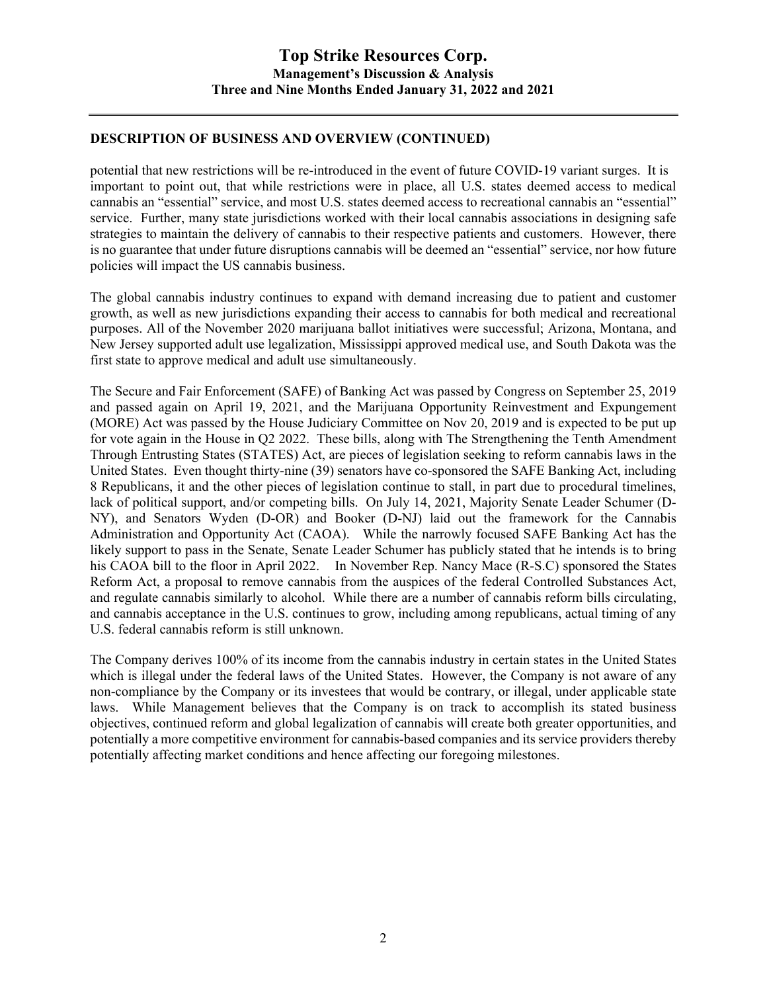## **DESCRIPTION OF BUSINESS AND OVERVIEW (CONTINUED)**

potential that new restrictions will be re-introduced in the event of future COVID-19 variant surges. It is important to point out, that while restrictions were in place, all U.S. states deemed access to medical cannabis an "essential" service, and most U.S. states deemed access to recreational cannabis an "essential" service. Further, many state jurisdictions worked with their local cannabis associations in designing safe strategies to maintain the delivery of cannabis to their respective patients and customers. However, there is no guarantee that under future disruptions cannabis will be deemed an "essential" service, nor how future policies will impact the US cannabis business.

The global cannabis industry continues to expand with demand increasing due to patient and customer growth, as well as new jurisdictions expanding their access to cannabis for both medical and recreational purposes. All of the November 2020 marijuana ballot initiatives were successful; Arizona, Montana, and New Jersey supported adult use legalization, Mississippi approved medical use, and South Dakota was the first state to approve medical and adult use simultaneously.

The Secure and Fair Enforcement (SAFE) of Banking Act was passed by Congress on September 25, 2019 and passed again on April 19, 2021, and the Marijuana Opportunity Reinvestment and Expungement (MORE) Act was passed by the House Judiciary Committee on Nov 20, 2019 and is expected to be put up for vote again in the House in Q2 2022. These bills, along with The Strengthening the Tenth Amendment Through Entrusting States (STATES) Act, are pieces of legislation seeking to reform cannabis laws in the United States. Even thought thirty-nine (39) senators have co-sponsored the SAFE Banking Act, including 8 Republicans, it and the other pieces of legislation continue to stall, in part due to procedural timelines, lack of political support, and/or competing bills. On July 14, 2021, Majority Senate Leader Schumer (D-NY), and Senators Wyden (D-OR) and Booker (D-NJ) laid out the framework for the Cannabis Administration and Opportunity Act (CAOA). While the narrowly focused SAFE Banking Act has the likely support to pass in the Senate, Senate Leader Schumer has publicly stated that he intends is to bring his CAOA bill to the floor in April 2022. In November Rep. Nancy Mace (R-S.C) sponsored the States Reform Act, a proposal to remove cannabis from the auspices of the federal Controlled Substances Act, and regulate cannabis similarly to alcohol. While there are a number of cannabis reform bills circulating, and cannabis acceptance in the U.S. continues to grow, including among republicans, actual timing of any U.S. federal cannabis reform is still unknown.

The Company derives 100% of its income from the cannabis industry in certain states in the United States which is illegal under the federal laws of the United States. However, the Company is not aware of any non-compliance by the Company or its investees that would be contrary, or illegal, under applicable state laws. While Management believes that the Company is on track to accomplish its stated business objectives, continued reform and global legalization of cannabis will create both greater opportunities, and potentially a more competitive environment for cannabis-based companies and its service providers thereby potentially affecting market conditions and hence affecting our foregoing milestones.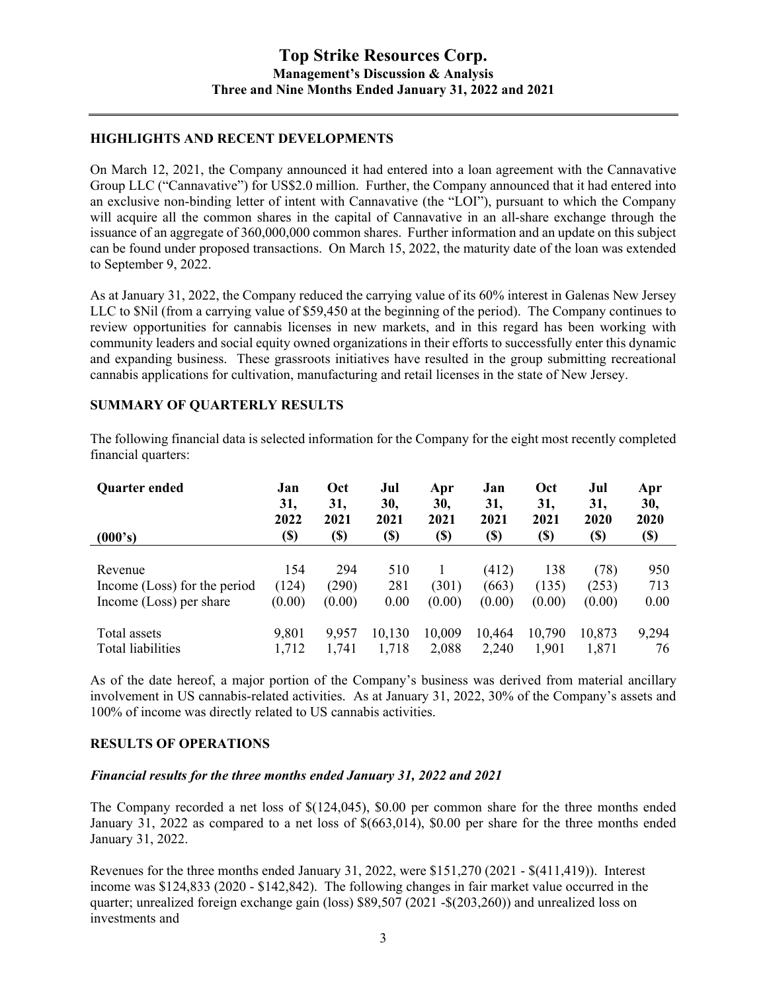### **HIGHLIGHTS AND RECENT DEVELOPMENTS**

On March 12, 2021, the Company announced it had entered into a loan agreement with the Cannavative Group LLC ("Cannavative") for US\$2.0 million. Further, the Company announced that it had entered into an exclusive non-binding letter of intent with Cannavative (the "LOI"), pursuant to which the Company will acquire all the common shares in the capital of Cannavative in an all-share exchange through the issuance of an aggregate of 360,000,000 common shares. Further information and an update on this subject can be found under proposed transactions. On March 15, 2022, the maturity date of the loan was extended to September 9, 2022.

As at January 31, 2022, the Company reduced the carrying value of its 60% interest in Galenas New Jersey LLC to \$Nil (from a carrying value of \$59,450 at the beginning of the period). The Company continues to review opportunities for cannabis licenses in new markets, and in this regard has been working with community leaders and social equity owned organizations in their efforts to successfully enter this dynamic and expanding business. These grassroots initiatives have resulted in the group submitting recreational cannabis applications for cultivation, manufacturing and retail licenses in the state of New Jersey.

#### **SUMMARY OF QUARTERLY RESULTS**

The following financial data is selected information for the Company for the eight most recently completed financial quarters:

| Quarter ended                | Jan<br>31,<br>2022 | <b>Oct</b><br>31,<br>2021 | Jul<br>30,<br>2021         | Apr<br>30,<br>2021 | Jan<br>31,<br>2021 | Oct<br>31,<br>2021         | Jul<br>31,<br>2020 | Apr<br>30,<br>2020         |
|------------------------------|--------------------|---------------------------|----------------------------|--------------------|--------------------|----------------------------|--------------------|----------------------------|
| (000's)                      | <b>(\$)</b>        | (\$)                      | $\left( \mathbb{S}\right)$ | (\$)               | <b>(\$)</b>        | $\left( \mathbb{S}\right)$ | (\$)               | $\left( \mathbb{S}\right)$ |
|                              |                    |                           |                            |                    |                    |                            |                    |                            |
| Revenue                      | 154                | 294                       | 510                        |                    | (412)              | 138                        | (78)               | 950                        |
| Income (Loss) for the period | (124)              | (290)                     | 281                        | (301)              | (663)              | (135)                      | (253)              | 713                        |
| Income (Loss) per share      | (0.00)             | (0.00)                    | 0.00                       | (0.00)             | (0.00)             | (0.00)                     | (0.00)             | 0.00                       |
| Total assets                 | 9,801              | 9,957                     | 10,130                     | 10,009             | 10,464             | 10,790                     | 10,873             | 9,294                      |
| Total liabilities            | 1,712              | 1,741                     | 1,718                      | 2,088              | 2,240              | 1,901                      | 1,871              | 76                         |

As of the date hereof, a major portion of the Company's business was derived from material ancillary involvement in US cannabis-related activities. As at January 31, 2022, 30% of the Company's assets and 100% of income was directly related to US cannabis activities.

### **RESULTS OF OPERATIONS**

#### *Financial results for the three months ended January 31, 2022 and 2021*

The Company recorded a net loss of \$(124,045), \$0.00 per common share for the three months ended January 31, 2022 as compared to a net loss of \$(663,014), \$0.00 per share for the three months ended January 31, 2022.

Revenues for the three months ended January 31, 2022, were \$151,270 (2021 - \$(411,419)). Interest income was \$124,833 (2020 - \$142,842). The following changes in fair market value occurred in the quarter; unrealized foreign exchange gain (loss) \$89,507 (2021 -\$(203,260)) and unrealized loss on investments and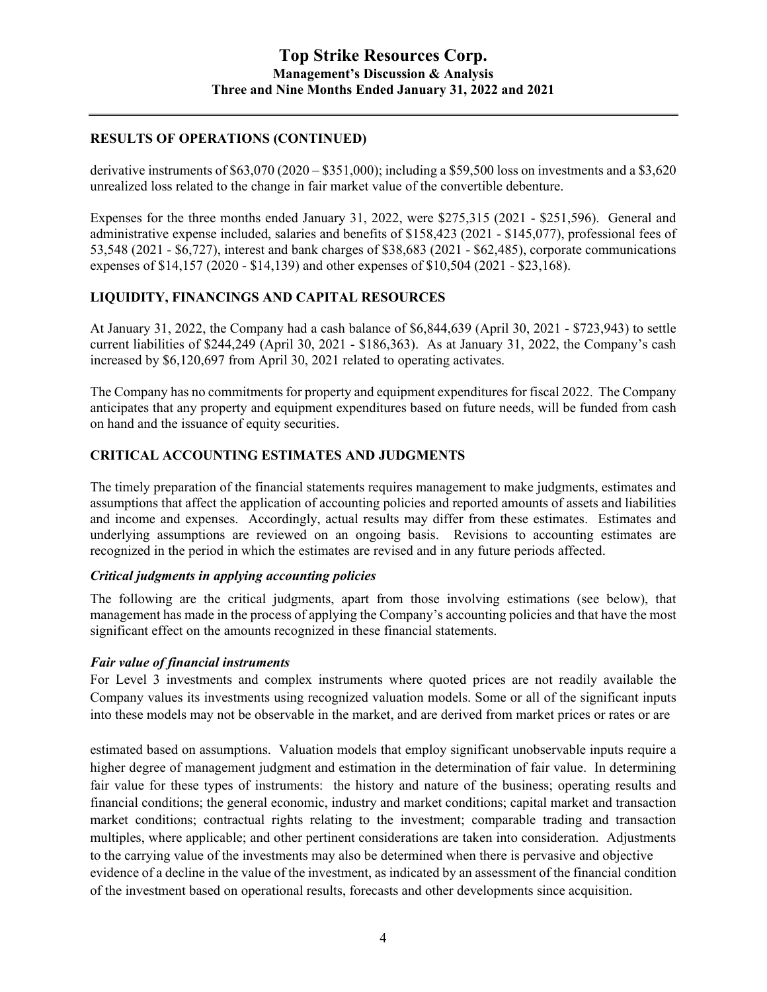## **RESULTS OF OPERATIONS (CONTINUED)**

derivative instruments of  $$63,070 (2020 - $351,000)$ ; including a \$59,500 loss on investments and a \$3,620 unrealized loss related to the change in fair market value of the convertible debenture.

Expenses for the three months ended January 31, 2022, were \$275,315 (2021 - \$251,596). General and administrative expense included, salaries and benefits of \$158,423 (2021 - \$145,077), professional fees of 53,548 (2021 - \$6,727), interest and bank charges of \$38,683 (2021 - \$62,485), corporate communications expenses of \$14,157 (2020 - \$14,139) and other expenses of \$10,504 (2021 - \$23,168).

## **LIQUIDITY, FINANCINGS AND CAPITAL RESOURCES**

At January 31, 2022, the Company had a cash balance of \$6,844,639 (April 30, 2021 - \$723,943) to settle current liabilities of \$244,249 (April 30, 2021 - \$186,363). As at January 31, 2022, the Company's cash increased by \$6,120,697 from April 30, 2021 related to operating activates.

The Company has no commitments for property and equipment expenditures for fiscal 2022. The Company anticipates that any property and equipment expenditures based on future needs, will be funded from cash on hand and the issuance of equity securities.

## **CRITICAL ACCOUNTING ESTIMATES AND JUDGMENTS**

The timely preparation of the financial statements requires management to make judgments, estimates and assumptions that affect the application of accounting policies and reported amounts of assets and liabilities and income and expenses. Accordingly, actual results may differ from these estimates. Estimates and underlying assumptions are reviewed on an ongoing basis. Revisions to accounting estimates are recognized in the period in which the estimates are revised and in any future periods affected.

#### *Critical judgments in applying accounting policies*

The following are the critical judgments, apart from those involving estimations (see below), that management has made in the process of applying the Company's accounting policies and that have the most significant effect on the amounts recognized in these financial statements.

#### *Fair value of financial instruments*

For Level 3 investments and complex instruments where quoted prices are not readily available the Company values its investments using recognized valuation models. Some or all of the significant inputs into these models may not be observable in the market, and are derived from market prices or rates or are

estimated based on assumptions. Valuation models that employ significant unobservable inputs require a higher degree of management judgment and estimation in the determination of fair value. In determining fair value for these types of instruments: the history and nature of the business; operating results and financial conditions; the general economic, industry and market conditions; capital market and transaction market conditions; contractual rights relating to the investment; comparable trading and transaction multiples, where applicable; and other pertinent considerations are taken into consideration. Adjustments to the carrying value of the investments may also be determined when there is pervasive and objective evidence of a decline in the value of the investment, as indicated by an assessment of the financial condition of the investment based on operational results, forecasts and other developments since acquisition.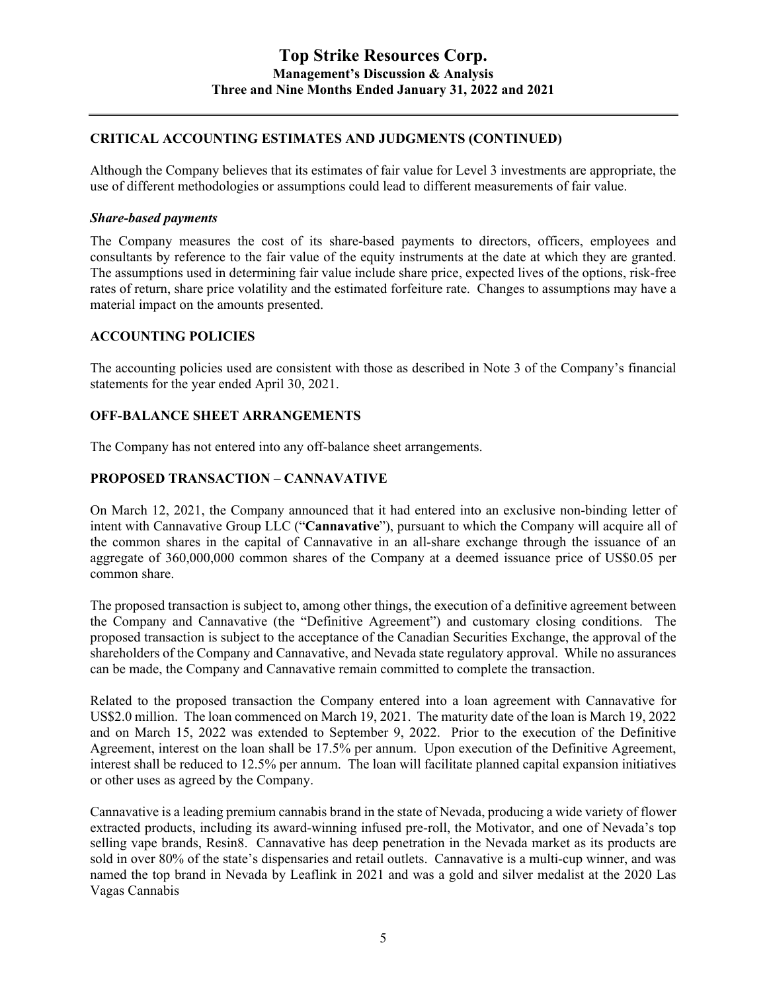# **CRITICAL ACCOUNTING ESTIMATES AND JUDGMENTS (CONTINUED)**

Although the Company believes that its estimates of fair value for Level 3 investments are appropriate, the use of different methodologies or assumptions could lead to different measurements of fair value.

### *Share-based payments*

The Company measures the cost of its share-based payments to directors, officers, employees and consultants by reference to the fair value of the equity instruments at the date at which they are granted. The assumptions used in determining fair value include share price, expected lives of the options, risk-free rates of return, share price volatility and the estimated forfeiture rate. Changes to assumptions may have a material impact on the amounts presented.

### **ACCOUNTING POLICIES**

The accounting policies used are consistent with those as described in Note 3 of the Company's financial statements for the year ended April 30, 2021.

### **OFF-BALANCE SHEET ARRANGEMENTS**

The Company has not entered into any off-balance sheet arrangements.

## **PROPOSED TRANSACTION – CANNAVATIVE**

On March 12, 2021, the Company announced that it had entered into an exclusive non-binding letter of intent with Cannavative Group LLC ("**Cannavative**"), pursuant to which the Company will acquire all of the common shares in the capital of Cannavative in an all-share exchange through the issuance of an aggregate of 360,000,000 common shares of the Company at a deemed issuance price of US\$0.05 per common share.

The proposed transaction is subject to, among other things, the execution of a definitive agreement between the Company and Cannavative (the "Definitive Agreement") and customary closing conditions. The proposed transaction is subject to the acceptance of the Canadian Securities Exchange, the approval of the shareholders of the Company and Cannavative, and Nevada state regulatory approval. While no assurances can be made, the Company and Cannavative remain committed to complete the transaction.

Related to the proposed transaction the Company entered into a loan agreement with Cannavative for US\$2.0 million. The loan commenced on March 19, 2021. The maturity date of the loan is March 19, 2022 and on March 15, 2022 was extended to September 9, 2022. Prior to the execution of the Definitive Agreement, interest on the loan shall be 17.5% per annum. Upon execution of the Definitive Agreement, interest shall be reduced to 12.5% per annum. The loan will facilitate planned capital expansion initiatives or other uses as agreed by the Company.

Cannavative is a leading premium cannabis brand in the state of Nevada, producing a wide variety of flower extracted products, including its award-winning infused pre-roll, the Motivator, and one of Nevada's top selling vape brands, Resin8. Cannavative has deep penetration in the Nevada market as its products are sold in over 80% of the state's dispensaries and retail outlets. Cannavative is a multi-cup winner, and was named the top brand in Nevada by Leaflink in 2021 and was a gold and silver medalist at the 2020 Las Vagas Cannabis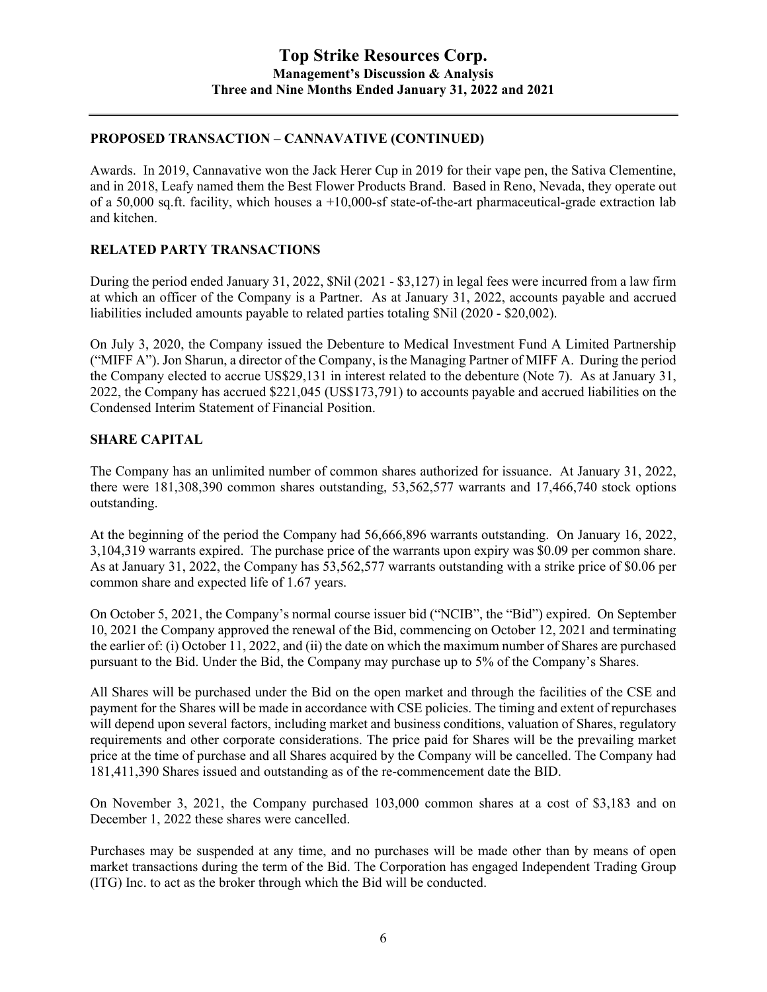# **PROPOSED TRANSACTION – CANNAVATIVE (CONTINUED)**

Awards. In 2019, Cannavative won the Jack Herer Cup in 2019 for their vape pen, the Sativa Clementine, and in 2018, Leafy named them the Best Flower Products Brand. Based in Reno, Nevada, they operate out of a 50,000 sq.ft. facility, which houses a  $+10,000$ -sf state-of-the-art pharmaceutical-grade extraction lab and kitchen.

# **RELATED PARTY TRANSACTIONS**

During the period ended January 31, 2022, \$Nil (2021 - \$3,127) in legal fees were incurred from a law firm at which an officer of the Company is a Partner. As at January 31, 2022, accounts payable and accrued liabilities included amounts payable to related parties totaling \$Nil (2020 - \$20,002).

On July 3, 2020, the Company issued the Debenture to Medical Investment Fund A Limited Partnership ("MIFF A"). Jon Sharun, a director of the Company, is the Managing Partner of MIFF A. During the period the Company elected to accrue US\$29,131 in interest related to the debenture (Note 7). As at January 31, 2022, the Company has accrued \$221,045 (US\$173,791) to accounts payable and accrued liabilities on the Condensed Interim Statement of Financial Position.

## **SHARE CAPITAL**

The Company has an unlimited number of common shares authorized for issuance. At January 31, 2022, there were 181,308,390 common shares outstanding, 53,562,577 warrants and 17,466,740 stock options outstanding.

At the beginning of the period the Company had 56,666,896 warrants outstanding. On January 16, 2022, 3,104,319 warrants expired. The purchase price of the warrants upon expiry was \$0.09 per common share. As at January 31, 2022, the Company has 53,562,577 warrants outstanding with a strike price of \$0.06 per common share and expected life of 1.67 years.

On October 5, 2021, the Company's normal course issuer bid ("NCIB", the "Bid") expired. On September 10, 2021 the Company approved the renewal of the Bid, commencing on October 12, 2021 and terminating the earlier of: (i) October 11, 2022, and (ii) the date on which the maximum number of Shares are purchased pursuant to the Bid. Under the Bid, the Company may purchase up to 5% of the Company's Shares.

All Shares will be purchased under the Bid on the open market and through the facilities of the CSE and payment for the Shares will be made in accordance with CSE policies. The timing and extent of repurchases will depend upon several factors, including market and business conditions, valuation of Shares, regulatory requirements and other corporate considerations. The price paid for Shares will be the prevailing market price at the time of purchase and all Shares acquired by the Company will be cancelled. The Company had 181,411,390 Shares issued and outstanding as of the re-commencement date the BID.

On November 3, 2021, the Company purchased 103,000 common shares at a cost of \$3,183 and on December 1, 2022 these shares were cancelled.

Purchases may be suspended at any time, and no purchases will be made other than by means of open market transactions during the term of the Bid. The Corporation has engaged Independent Trading Group (ITG) Inc. to act as the broker through which the Bid will be conducted.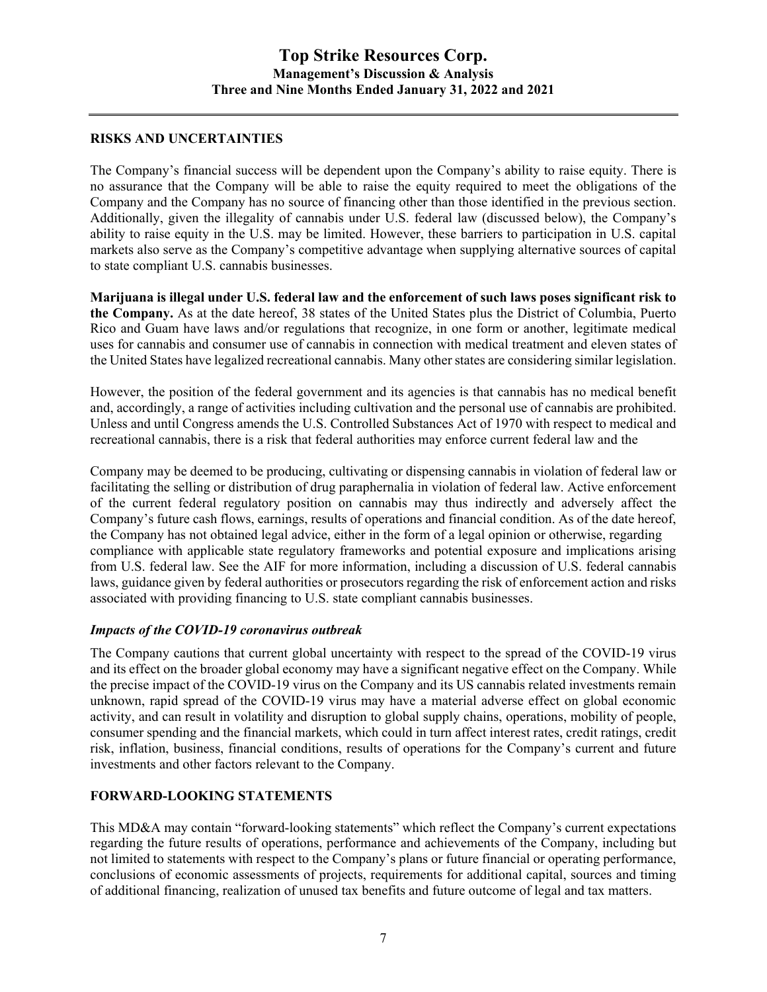# **RISKS AND UNCERTAINTIES**

The Company's financial success will be dependent upon the Company's ability to raise equity. There is no assurance that the Company will be able to raise the equity required to meet the obligations of the Company and the Company has no source of financing other than those identified in the previous section. Additionally, given the illegality of cannabis under U.S. federal law (discussed below), the Company's ability to raise equity in the U.S. may be limited. However, these barriers to participation in U.S. capital markets also serve as the Company's competitive advantage when supplying alternative sources of capital to state compliant U.S. cannabis businesses.

**Marijuana is illegal under U.S. federal law and the enforcement of such laws poses significant risk to the Company.** As at the date hereof, 38 states of the United States plus the District of Columbia, Puerto Rico and Guam have laws and/or regulations that recognize, in one form or another, legitimate medical uses for cannabis and consumer use of cannabis in connection with medical treatment and eleven states of the United States have legalized recreational cannabis. Many other states are considering similar legislation.

However, the position of the federal government and its agencies is that cannabis has no medical benefit and, accordingly, a range of activities including cultivation and the personal use of cannabis are prohibited. Unless and until Congress amends the U.S. Controlled Substances Act of 1970 with respect to medical and recreational cannabis, there is a risk that federal authorities may enforce current federal law and the

Company may be deemed to be producing, cultivating or dispensing cannabis in violation of federal law or facilitating the selling or distribution of drug paraphernalia in violation of federal law. Active enforcement of the current federal regulatory position on cannabis may thus indirectly and adversely affect the Company's future cash flows, earnings, results of operations and financial condition. As of the date hereof, the Company has not obtained legal advice, either in the form of a legal opinion or otherwise, regarding compliance with applicable state regulatory frameworks and potential exposure and implications arising from U.S. federal law. See the AIF for more information, including a discussion of U.S. federal cannabis laws, guidance given by federal authorities or prosecutors regarding the risk of enforcement action and risks associated with providing financing to U.S. state compliant cannabis businesses.

#### *Impacts of the COVID-19 coronavirus outbreak*

The Company cautions that current global uncertainty with respect to the spread of the COVID-19 virus and its effect on the broader global economy may have a significant negative effect on the Company. While the precise impact of the COVID-19 virus on the Company and its US cannabis related investments remain unknown, rapid spread of the COVID-19 virus may have a material adverse effect on global economic activity, and can result in volatility and disruption to global supply chains, operations, mobility of people, consumer spending and the financial markets, which could in turn affect interest rates, credit ratings, credit risk, inflation, business, financial conditions, results of operations for the Company's current and future investments and other factors relevant to the Company.

## **FORWARD-LOOKING STATEMENTS**

This MD&A may contain "forward-looking statements" which reflect the Company's current expectations regarding the future results of operations, performance and achievements of the Company, including but not limited to statements with respect to the Company's plans or future financial or operating performance, conclusions of economic assessments of projects, requirements for additional capital, sources and timing of additional financing, realization of unused tax benefits and future outcome of legal and tax matters.